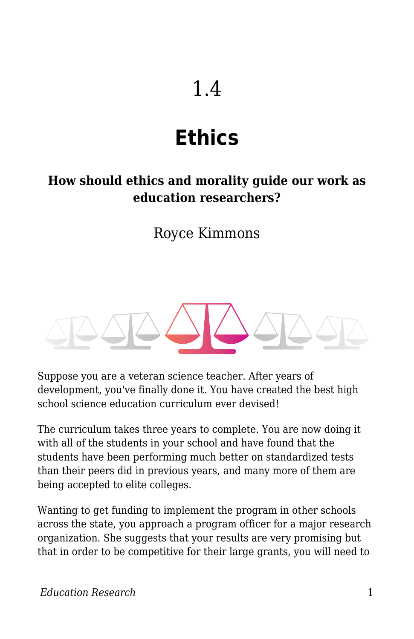# 1.4

# **Ethics**

#### **How should ethics and morality guide our work as education researchers?**

### Royce Kimmons



Suppose you are a veteran science teacher. After years of development, you've finally done it. You have created the best high school science education curriculum ever devised!

The curriculum takes three years to complete. You are now doing it with all of the students in your school and have found that the students have been performing much better on standardized tests than their peers did in previous years, and many more of them are being accepted to elite colleges.

Wanting to get funding to implement the program in other schools across the state, you approach a program officer for a major research organization. She suggests that your results are very promising but that in order to be competitive for their large grants, you will need to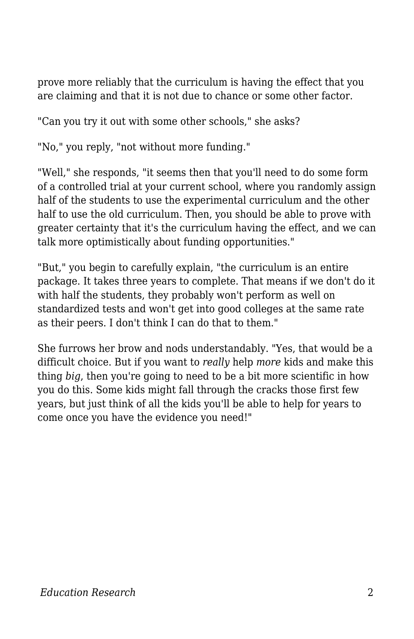prove more reliably that the curriculum is having the effect that you are claiming and that it is not due to chance or some other factor.

"Can you try it out with some other schools," she asks?

"No," you reply, "not without more funding."

"Well," she responds, "it seems then that you'll need to do some form of a controlled trial at your current school, where you randomly assign half of the students to use the experimental curriculum and the other half to use the old curriculum. Then, you should be able to prove with greater certainty that it's the curriculum having the effect, and we can talk more optimistically about funding opportunities."

"But," you begin to carefully explain, "the curriculum is an entire package. It takes three years to complete. That means if we don't do it with half the students, they probably won't perform as well on standardized tests and won't get into good colleges at the same rate as their peers. I don't think I can do that to them."

She furrows her brow and nods understandably. "Yes, that would be a difficult choice. But if you want to *really* help *more* kids and make this thing *big*, then you're going to need to be a bit more scientific in how you do this. Some kids might fall through the cracks those first few years, but just think of all the kids you'll be able to help for years to come once you have the evidence you need!"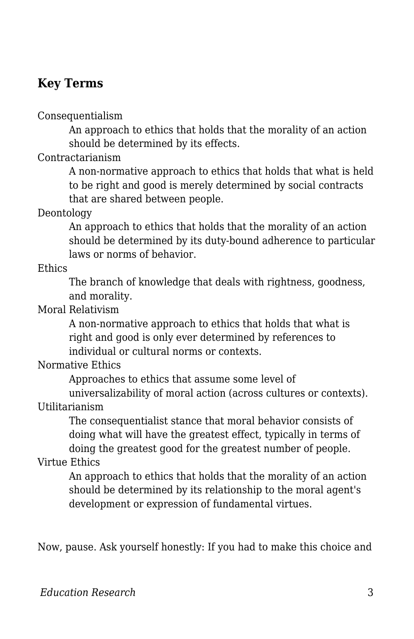#### **Key Terms**

Consequentialism

An approach to ethics that holds that the morality of an action should be determined by its effects.

Contractarianism

A non-normative approach to ethics that holds that what is held to be right and good is merely determined by social contracts that are shared between people.

**Deontology** 

An approach to ethics that holds that the morality of an action should be determined by its duty-bound adherence to particular laws or norms of behavior.

**Ethics** 

The branch of knowledge that deals with rightness, goodness, and morality.

Moral Relativism

A non-normative approach to ethics that holds that what is right and good is only ever determined by references to individual or cultural norms or contexts.

Normative Ethics

Approaches to ethics that assume some level of

universalizability of moral action (across cultures or contexts). Utilitarianism

The consequentialist stance that moral behavior consists of doing what will have the greatest effect, typically in terms of doing the greatest good for the greatest number of people.

#### Virtue Ethics

An approach to ethics that holds that the morality of an action should be determined by its relationship to the moral agent's development or expression of fundamental virtues.

Now, pause. Ask yourself honestly: If you had to make this choice and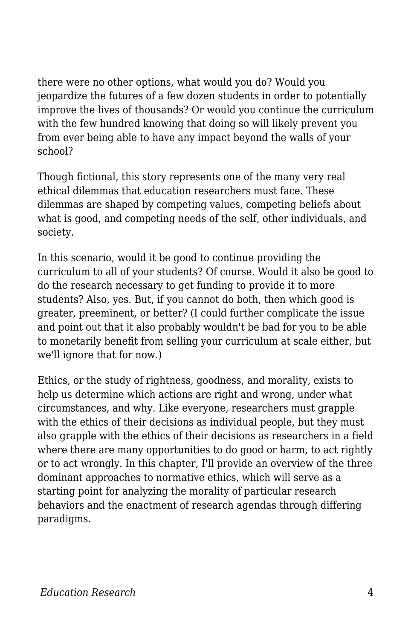there were no other options, what would you do? Would you jeopardize the futures of a few dozen students in order to potentially improve the lives of thousands? Or would you continue the curriculum with the few hundred knowing that doing so will likely prevent you from ever being able to have any impact beyond the walls of your school?

Though fictional, this story represents one of the many very real ethical dilemmas that education researchers must face. These dilemmas are shaped by competing values, competing beliefs about what is good, and competing needs of the self, other individuals, and society.

In this scenario, would it be good to continue providing the curriculum to all of your students? Of course. Would it also be good to do the research necessary to get funding to provide it to more students? Also, yes. But, if you cannot do both, then which good is greater, preeminent, or better? (I could further complicate the issue and point out that it also probably wouldn't be bad for you to be able to monetarily benefit from selling your curriculum at scale either, but we'll ignore that for now.)

Ethics, or the study of rightness, goodness, and morality, exists to help us determine which actions are right and wrong, under what circumstances, and why. Like everyone, researchers must grapple with the ethics of their decisions as individual people, but they must also grapple with the ethics of their decisions as researchers in a field where there are many opportunities to do good or harm, to act rightly or to act wrongly. In this chapter, I'll provide an overview of the three dominant approaches to normative ethics, which will serve as a starting point for analyzing the morality of particular research behaviors and the enactment of research agendas through differing paradigms.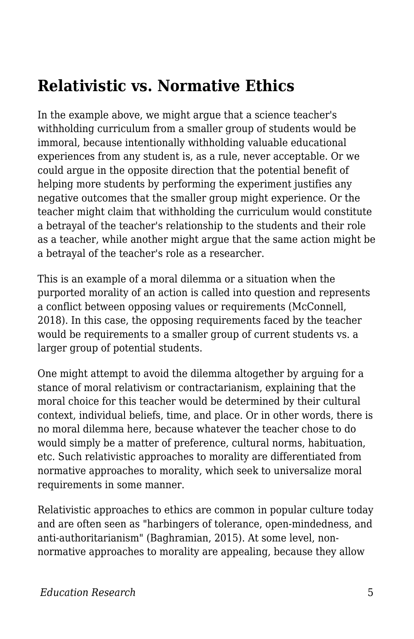## **Relativistic vs. Normative Ethics**

In the example above, we might argue that a science teacher's withholding curriculum from a smaller group of students would be immoral, because intentionally withholding valuable educational experiences from any student is, as a rule, never acceptable. Or we could argue in the opposite direction that the potential benefit of helping more students by performing the experiment justifies any negative outcomes that the smaller group might experience. Or the teacher might claim that withholding the curriculum would constitute a betrayal of the teacher's relationship to the students and their role as a teacher, while another might argue that the same action might be a betrayal of the teacher's role as a researcher.

This is an example of a moral dilemma or a situation when the purported morality of an action is called into question and represents a conflict between opposing values or requirements (McConnell, 2018). In this case, the opposing requirements faced by the teacher would be requirements to a smaller group of current students vs. a larger group of potential students.

One might attempt to avoid the dilemma altogether by arguing for a stance of moral relativism or contractarianism, explaining that the moral choice for this teacher would be determined by their cultural context, individual beliefs, time, and place. Or in other words, there is no moral dilemma here, because whatever the teacher chose to do would simply be a matter of preference, cultural norms, habituation, etc. Such relativistic approaches to morality are differentiated from normative approaches to morality, which seek to universalize moral requirements in some manner.

Relativistic approaches to ethics are common in popular culture today and are often seen as "harbingers of tolerance, open-mindedness, and anti-authoritarianism" (Baghramian, 2015). At some level, nonnormative approaches to morality are appealing, because they allow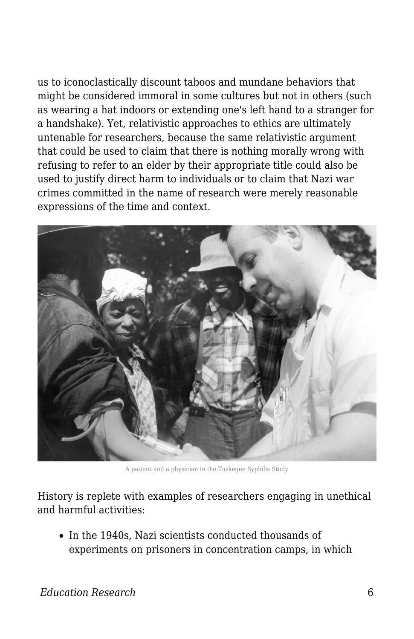us to iconoclastically discount taboos and mundane behaviors that might be considered immoral in some cultures but not in others (such as wearing a hat indoors or extending one's left hand to a stranger for a handshake). Yet, relativistic approaches to ethics are ultimately untenable for researchers, because the same relativistic argument that could be used to claim that there is nothing morally wrong with refusing to refer to an elder by their appropriate title could also be used to justify direct harm to individuals or to claim that Nazi war crimes committed in the name of research were merely reasonable expressions of the time and context.



A patient and a physician in the Tuskegee Syphilis Study

History is replete with examples of researchers engaging in unethical and harmful activities:

• In the 1940s, Nazi scientists conducted thousands of experiments on prisoners in concentration camps, in which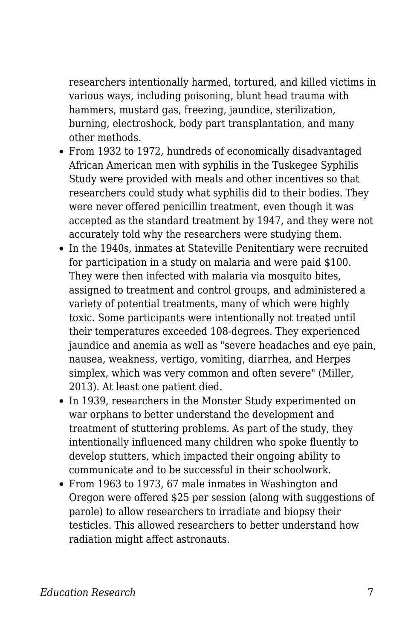researchers intentionally harmed, tortured, and killed victims in various ways, including poisoning, blunt head trauma with hammers, mustard gas, freezing, jaundice, sterilization, burning, electroshock, body part transplantation, and many other methods.

- From 1932 to 1972, hundreds of economically disadvantaged African American men with syphilis in the Tuskegee Syphilis Study were provided with meals and other incentives so that researchers could study what syphilis did to their bodies. They were never offered penicillin treatment, even though it was accepted as the standard treatment by 1947, and they were not accurately told why the researchers were studying them.
- In the 1940s, inmates at Stateville Penitentiary were recruited for participation in a study on malaria and were paid \$100. They were then infected with malaria via mosquito bites, assigned to treatment and control groups, and administered a variety of potential treatments, many of which were highly toxic. Some participants were intentionally not treated until their temperatures exceeded 108-degrees. They experienced jaundice and anemia as well as "severe headaches and eye pain, nausea, weakness, vertigo, vomiting, diarrhea, and Herpes simplex, which was very common and often severe" (Miller, 2013). At least one patient died.
- In 1939, researchers in the Monster Study experimented on war orphans to better understand the development and treatment of stuttering problems. As part of the study, they intentionally influenced many children who spoke fluently to develop stutters, which impacted their ongoing ability to communicate and to be successful in their schoolwork.
- From 1963 to 1973, 67 male inmates in Washington and Oregon were offered \$25 per session (along with suggestions of parole) to allow researchers to irradiate and biopsy their testicles. This allowed researchers to better understand how radiation might affect astronauts.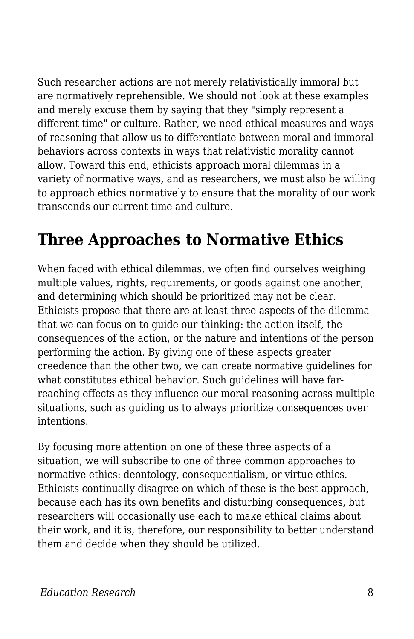Such researcher actions are not merely relativistically immoral but are normatively reprehensible. We should not look at these examples and merely excuse them by saying that they "simply represent a different time" or culture. Rather, we need ethical measures and ways of reasoning that allow us to differentiate between moral and immoral behaviors across contexts in ways that relativistic morality cannot allow. Toward this end, ethicists approach moral dilemmas in a variety of normative ways, and as researchers, we must also be willing to approach ethics normatively to ensure that the morality of our work transcends our current time and culture.

# **Three Approaches to Normative Ethics**

When faced with ethical dilemmas, we often find ourselves weighing multiple values, rights, requirements, or goods against one another, and determining which should be prioritized may not be clear. Ethicists propose that there are at least three aspects of the dilemma that we can focus on to guide our thinking: the action itself, the consequences of the action, or the nature and intentions of the person performing the action. By giving one of these aspects greater creedence than the other two, we can create normative guidelines for what constitutes ethical behavior. Such guidelines will have farreaching effects as they influence our moral reasoning across multiple situations, such as guiding us to always prioritize consequences over intentions.

By focusing more attention on one of these three aspects of a situation, we will subscribe to one of three common approaches to normative ethics: deontology, consequentialism, or virtue ethics. Ethicists continually disagree on which of these is the best approach, because each has its own benefits and disturbing consequences, but researchers will occasionally use each to make ethical claims about their work, and it is, therefore, our responsibility to better understand them and decide when they should be utilized.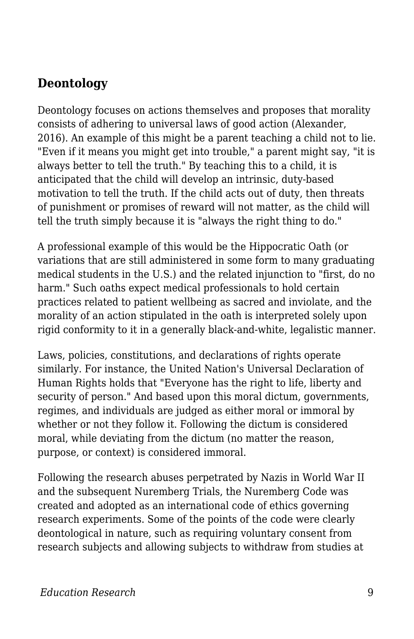#### **Deontology**

Deontology focuses on actions themselves and proposes that morality consists of adhering to universal laws of good action (Alexander, 2016). An example of this might be a parent teaching a child not to lie. "Even if it means you might get into trouble," a parent might say, "it is always better to tell the truth." By teaching this to a child, it is anticipated that the child will develop an intrinsic, duty-based motivation to tell the truth. If the child acts out of duty, then threats of punishment or promises of reward will not matter, as the child will tell the truth simply because it is "always the right thing to do."

A professional example of this would be the Hippocratic Oath (or variations that are still administered in some form to many graduating medical students in the U.S.) and the related injunction to "first, do no harm." Such oaths expect medical professionals to hold certain practices related to patient wellbeing as sacred and inviolate, and the morality of an action stipulated in the oath is interpreted solely upon rigid conformity to it in a generally black-and-white, legalistic manner.

Laws, policies, constitutions, and declarations of rights operate similarly. For instance, the United Nation's Universal Declaration of Human Rights holds that "Everyone has the right to life, liberty and security of person." And based upon this moral dictum, governments, regimes, and individuals are judged as either moral or immoral by whether or not they follow it. Following the dictum is considered moral, while deviating from the dictum (no matter the reason, purpose, or context) is considered immoral.

Following the research abuses perpetrated by Nazis in World War II and the subsequent Nuremberg Trials, the Nuremberg Code was created and adopted as an international code of ethics governing research experiments. Some of the points of the code were clearly deontological in nature, such as requiring voluntary consent from research subjects and allowing subjects to withdraw from studies at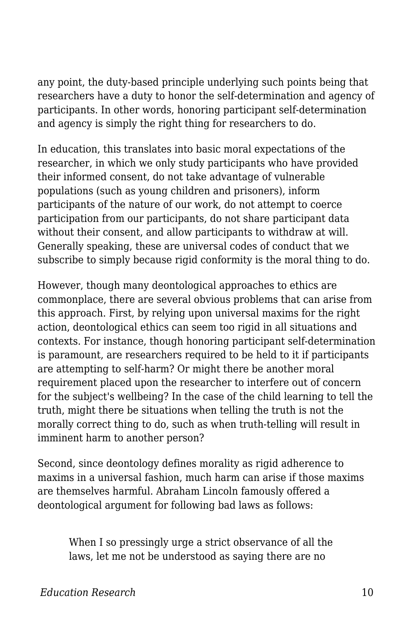any point, the duty-based principle underlying such points being that researchers have a duty to honor the self-determination and agency of participants. In other words, honoring participant self-determination and agency is simply the right thing for researchers to do.

In education, this translates into basic moral expectations of the researcher, in which we only study participants who have provided their informed consent, do not take advantage of vulnerable populations (such as young children and prisoners), inform participants of the nature of our work, do not attempt to coerce participation from our participants, do not share participant data without their consent, and allow participants to withdraw at will. Generally speaking, these are universal codes of conduct that we subscribe to simply because rigid conformity is the moral thing to do.

However, though many deontological approaches to ethics are commonplace, there are several obvious problems that can arise from this approach. First, by relying upon universal maxims for the right action, deontological ethics can seem too rigid in all situations and contexts. For instance, though honoring participant self-determination is paramount, are researchers required to be held to it if participants are attempting to self-harm? Or might there be another moral requirement placed upon the researcher to interfere out of concern for the subject's wellbeing? In the case of the child learning to tell the truth, might there be situations when telling the truth is not the morally correct thing to do, such as when truth-telling will result in imminent harm to another person?

Second, since deontology defines morality as rigid adherence to maxims in a universal fashion, much harm can arise if those maxims are themselves harmful. Abraham Lincoln famously offered a deontological argument for following bad laws as follows:

When I so pressingly urge a strict observance of all the laws, let me not be understood as saying there are no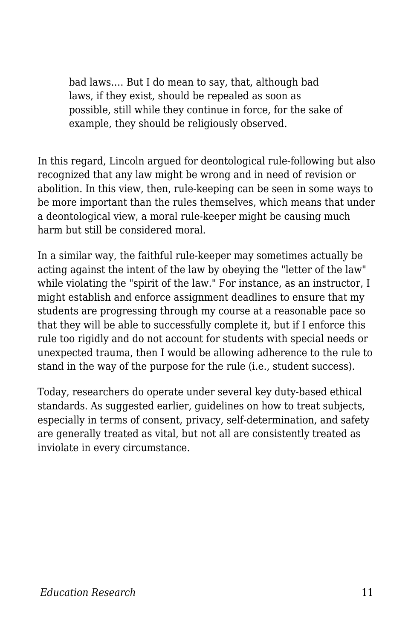bad laws.… But I do mean to say, that, although bad laws, if they exist, should be repealed as soon as possible, still while they continue in force, for the sake of example, they should be religiously observed.

In this regard, Lincoln argued for deontological rule-following but also recognized that any law might be wrong and in need of revision or abolition. In this view, then, rule-keeping can be seen in some ways to be more important than the rules themselves, which means that under a deontological view, a moral rule-keeper might be causing much harm but still be considered moral.

In a similar way, the faithful rule-keeper may sometimes actually be acting against the intent of the law by obeying the "letter of the law" while violating the "spirit of the law." For instance, as an instructor, I might establish and enforce assignment deadlines to ensure that my students are progressing through my course at a reasonable pace so that they will be able to successfully complete it, but if I enforce this rule too rigidly and do not account for students with special needs or unexpected trauma, then I would be allowing adherence to the rule to stand in the way of the purpose for the rule (i.e., student success).

Today, researchers do operate under several key duty-based ethical standards. As suggested earlier, guidelines on how to treat subjects, especially in terms of consent, privacy, self-determination, and safety are generally treated as vital, but not all are consistently treated as inviolate in every circumstance.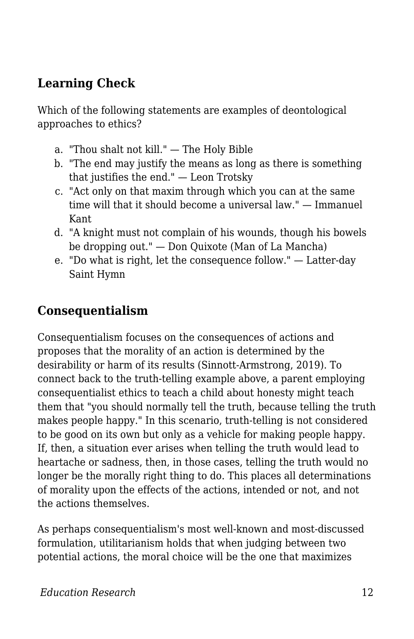#### **Learning Check**

Which of the following statements are examples of deontological approaches to ethics?

- a. "Thou shalt not kill." The Holy Bible
- b. "The end may justify the means as long as there is something that justifies the end." — Leon Trotsky
- c. "Act only on that maxim through which you can at the same time will that it should become a universal law." — Immanuel Kant
- d. "A knight must not complain of his wounds, though his bowels be dropping out." — Don Quixote (Man of La Mancha)
- e. "Do what is right, let the consequence follow." Latter-day Saint Hymn

#### **Consequentialism**

Consequentialism focuses on the consequences of actions and proposes that the morality of an action is determined by the desirability or harm of its results (Sinnott-Armstrong, 2019). To connect back to the truth-telling example above, a parent employing consequentialist ethics to teach a child about honesty might teach them that "you should normally tell the truth, because telling the truth makes people happy." In this scenario, truth-telling is not considered to be good on its own but only as a vehicle for making people happy. If, then, a situation ever arises when telling the truth would lead to heartache or sadness, then, in those cases, telling the truth would no longer be the morally right thing to do. This places all determinations of morality upon the effects of the actions, intended or not, and not the actions themselves.

As perhaps consequentialism's most well-known and most-discussed formulation, utilitarianism holds that when judging between two potential actions, the moral choice will be the one that maximizes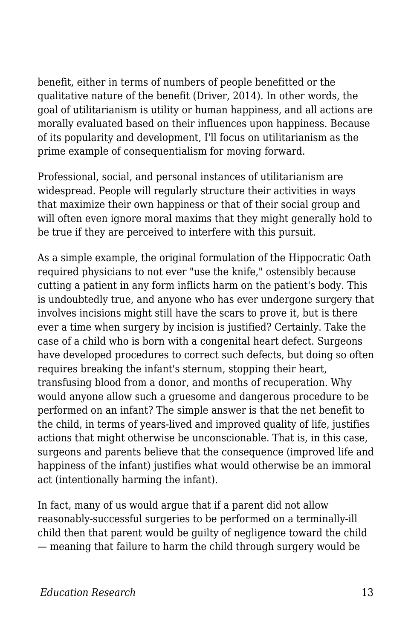benefit, either in terms of numbers of people benefitted or the qualitative nature of the benefit (Driver, 2014). In other words, the goal of utilitarianism is utility or human happiness, and all actions are morally evaluated based on their influences upon happiness. Because of its popularity and development, I'll focus on utilitarianism as the prime example of consequentialism for moving forward.

Professional, social, and personal instances of utilitarianism are widespread. People will regularly structure their activities in ways that maximize their own happiness or that of their social group and will often even ignore moral maxims that they might generally hold to be true if they are perceived to interfere with this pursuit.

As a simple example, the original formulation of the Hippocratic Oath required physicians to not ever "use the knife," ostensibly because cutting a patient in any form inflicts harm on the patient's body. This is undoubtedly true, and anyone who has ever undergone surgery that involves incisions might still have the scars to prove it, but is there ever a time when surgery by incision is justified? Certainly. Take the case of a child who is born with a congenital heart defect. Surgeons have developed procedures to correct such defects, but doing so often requires breaking the infant's sternum, stopping their heart, transfusing blood from a donor, and months of recuperation. Why would anyone allow such a gruesome and dangerous procedure to be performed on an infant? The simple answer is that the net benefit to the child, in terms of years-lived and improved quality of life, justifies actions that might otherwise be unconscionable. That is, in this case, surgeons and parents believe that the consequence (improved life and happiness of the infant) justifies what would otherwise be an immoral act (intentionally harming the infant).

In fact, many of us would argue that if a parent did not allow reasonably-successful surgeries to be performed on a terminally-ill child then that parent would be guilty of negligence toward the child — meaning that failure to harm the child through surgery would be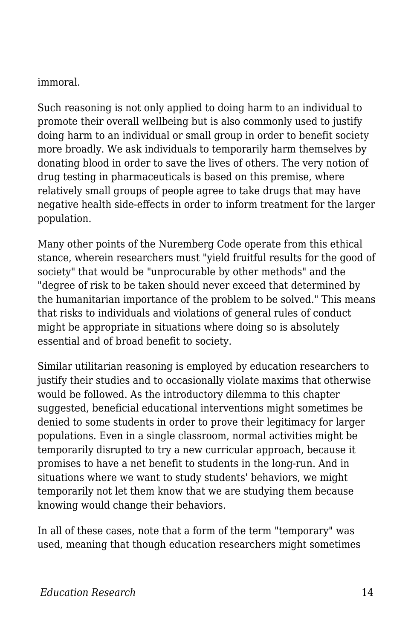#### immoral.

Such reasoning is not only applied to doing harm to an individual to promote their overall wellbeing but is also commonly used to justify doing harm to an individual or small group in order to benefit society more broadly. We ask individuals to temporarily harm themselves by donating blood in order to save the lives of others. The very notion of drug testing in pharmaceuticals is based on this premise, where relatively small groups of people agree to take drugs that may have negative health side-effects in order to inform treatment for the larger population.

Many other points of the Nuremberg Code operate from this ethical stance, wherein researchers must "yield fruitful results for the good of society" that would be "unprocurable by other methods" and the "degree of risk to be taken should never exceed that determined by the humanitarian importance of the problem to be solved." This means that risks to individuals and violations of general rules of conduct might be appropriate in situations where doing so is absolutely essential and of broad benefit to society.

Similar utilitarian reasoning is employed by education researchers to justify their studies and to occasionally violate maxims that otherwise would be followed. As the introductory dilemma to this chapter suggested, beneficial educational interventions might sometimes be denied to some students in order to prove their legitimacy for larger populations. Even in a single classroom, normal activities might be temporarily disrupted to try a new curricular approach, because it promises to have a net benefit to students in the long-run. And in situations where we want to study students' behaviors, we might temporarily not let them know that we are studying them because knowing would change their behaviors.

In all of these cases, note that a form of the term "temporary" was used, meaning that though education researchers might sometimes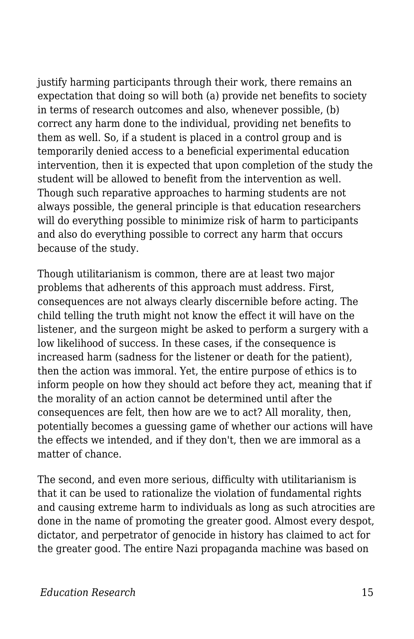justify harming participants through their work, there remains an expectation that doing so will both (a) provide net benefits to society in terms of research outcomes and also, whenever possible, (b) correct any harm done to the individual, providing net benefits to them as well. So, if a student is placed in a control group and is temporarily denied access to a beneficial experimental education intervention, then it is expected that upon completion of the study the student will be allowed to benefit from the intervention as well. Though such reparative approaches to harming students are not always possible, the general principle is that education researchers will do everything possible to minimize risk of harm to participants and also do everything possible to correct any harm that occurs because of the study.

Though utilitarianism is common, there are at least two major problems that adherents of this approach must address. First, consequences are not always clearly discernible before acting. The child telling the truth might not know the effect it will have on the listener, and the surgeon might be asked to perform a surgery with a low likelihood of success. In these cases, if the consequence is increased harm (sadness for the listener or death for the patient), then the action was immoral. Yet, the entire purpose of ethics is to inform people on how they should act before they act, meaning that if the morality of an action cannot be determined until after the consequences are felt, then how are we to act? All morality, then, potentially becomes a guessing game of whether our actions will have the effects we intended, and if they don't, then we are immoral as a matter of chance.

The second, and even more serious, difficulty with utilitarianism is that it can be used to rationalize the violation of fundamental rights and causing extreme harm to individuals as long as such atrocities are done in the name of promoting the greater good. Almost every despot, dictator, and perpetrator of genocide in history has claimed to act for the greater good. The entire Nazi propaganda machine was based on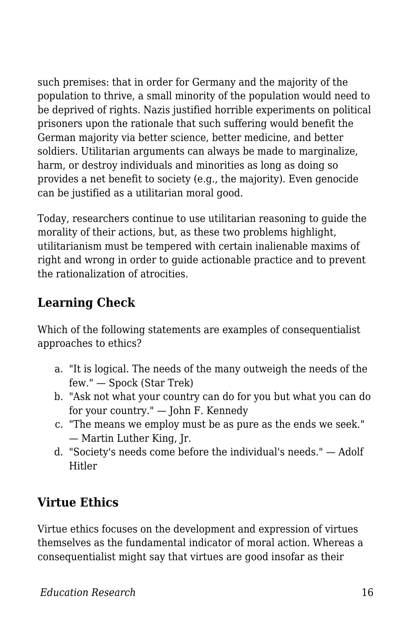such premises: that in order for Germany and the majority of the population to thrive, a small minority of the population would need to be deprived of rights. Nazis justified horrible experiments on political prisoners upon the rationale that such suffering would benefit the German majority via better science, better medicine, and better soldiers. Utilitarian arguments can always be made to marginalize, harm, or destroy individuals and minorities as long as doing so provides a net benefit to society (e.g., the majority). Even genocide can be justified as a utilitarian moral good.

Today, researchers continue to use utilitarian reasoning to guide the morality of their actions, but, as these two problems highlight, utilitarianism must be tempered with certain inalienable maxims of right and wrong in order to guide actionable practice and to prevent the rationalization of atrocities.

### **Learning Check**

Which of the following statements are examples of consequentialist approaches to ethics?

- a. "It is logical. The needs of the many outweigh the needs of the few." — Spock (Star Trek)
- b. "Ask not what your country can do for you but what you can do for your country." — John F. Kennedy
- c. "The means we employ must be as pure as the ends we seek." — Martin Luther King, Jr.
- d. "Society's needs come before the individual's needs." Adolf Hitler

### **Virtue Ethics**

Virtue ethics focuses on the development and expression of virtues themselves as the fundamental indicator of moral action. Whereas a consequentialist might say that virtues are good insofar as their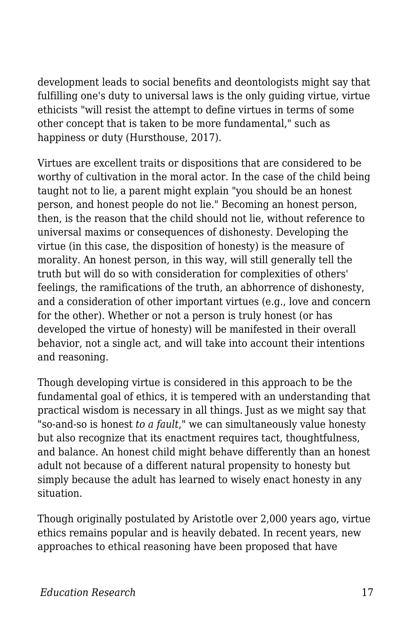development leads to social benefits and deontologists might say that fulfilling one's duty to universal laws is the only guiding virtue, virtue ethicists "will resist the attempt to define virtues in terms of some other concept that is taken to be more fundamental," such as happiness or duty (Hursthouse, 2017).

Virtues are excellent traits or dispositions that are considered to be worthy of cultivation in the moral actor. In the case of the child being taught not to lie, a parent might explain "you should be an honest person, and honest people do not lie." Becoming an honest person, then, is the reason that the child should not lie, without reference to universal maxims or consequences of dishonesty. Developing the virtue (in this case, the disposition of honesty) is the measure of morality. An honest person, in this way, will still generally tell the truth but will do so with consideration for complexities of others' feelings, the ramifications of the truth, an abhorrence of dishonesty, and a consideration of other important virtues (e.g., love and concern for the other). Whether or not a person is truly honest (or has developed the virtue of honesty) will be manifested in their overall behavior, not a single act, and will take into account their intentions and reasoning.

Though developing virtue is considered in this approach to be the fundamental goal of ethics, it is tempered with an understanding that practical wisdom is necessary in all things. Just as we might say that "so-and-so is honest *to a fault*," we can simultaneously value honesty but also recognize that its enactment requires tact, thoughtfulness, and balance. An honest child might behave differently than an honest adult not because of a different natural propensity to honesty but simply because the adult has learned to wisely enact honesty in any situation.

Though originally postulated by Aristotle over 2,000 years ago, virtue ethics remains popular and is heavily debated. In recent years, new approaches to ethical reasoning have been proposed that have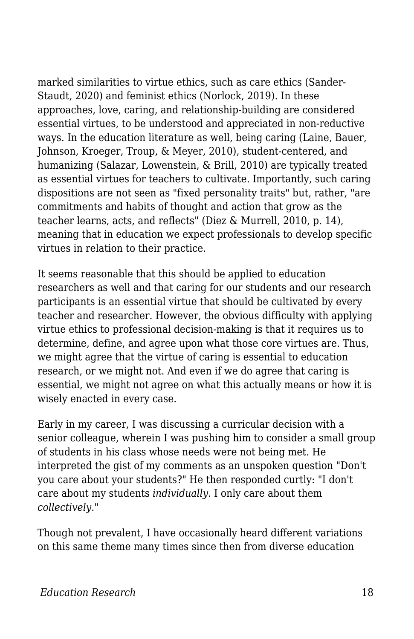marked similarities to virtue ethics, such as care ethics (Sander-Staudt, 2020) and feminist ethics (Norlock, 2019). In these approaches, love, caring, and relationship-building are considered essential virtues, to be understood and appreciated in non-reductive ways. In the education literature as well, being caring (Laine, Bauer, Johnson, Kroeger, Troup, & Meyer, 2010), student-centered, and humanizing (Salazar, Lowenstein, & Brill, 2010) are typically treated as essential virtues for teachers to cultivate. Importantly, such caring dispositions are not seen as "fixed personality traits" but, rather, "are commitments and habits of thought and action that grow as the teacher learns, acts, and reflects" (Diez & Murrell, 2010, p. 14), meaning that in education we expect professionals to develop specific virtues in relation to their practice.

It seems reasonable that this should be applied to education researchers as well and that caring for our students and our research participants is an essential virtue that should be cultivated by every teacher and researcher. However, the obvious difficulty with applying virtue ethics to professional decision-making is that it requires us to determine, define, and agree upon what those core virtues are. Thus, we might agree that the virtue of caring is essential to education research, or we might not. And even if we do agree that caring is essential, we might not agree on what this actually means or how it is wisely enacted in every case.

Early in my career, I was discussing a curricular decision with a senior colleague, wherein I was pushing him to consider a small group of students in his class whose needs were not being met. He interpreted the gist of my comments as an unspoken question "Don't you care about your students?" He then responded curtly: "I don't care about my students *individually*. I only care about them *collectively*."

Though not prevalent, I have occasionally heard different variations on this same theme many times since then from diverse education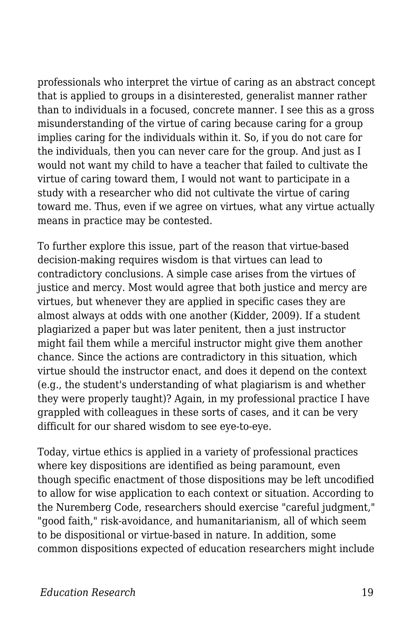professionals who interpret the virtue of caring as an abstract concept that is applied to groups in a disinterested, generalist manner rather than to individuals in a focused, concrete manner. I see this as a gross misunderstanding of the virtue of caring because caring for a group implies caring for the individuals within it. So, if you do not care for the individuals, then you can never care for the group. And just as I would not want my child to have a teacher that failed to cultivate the virtue of caring toward them, I would not want to participate in a study with a researcher who did not cultivate the virtue of caring toward me. Thus, even if we agree on virtues, what any virtue actually means in practice may be contested.

To further explore this issue, part of the reason that virtue-based decision-making requires wisdom is that virtues can lead to contradictory conclusions. A simple case arises from the virtues of justice and mercy. Most would agree that both justice and mercy are virtues, but whenever they are applied in specific cases they are almost always at odds with one another (Kidder, 2009). If a student plagiarized a paper but was later penitent, then a just instructor might fail them while a merciful instructor might give them another chance. Since the actions are contradictory in this situation, which virtue should the instructor enact, and does it depend on the context (e.g., the student's understanding of what plagiarism is and whether they were properly taught)? Again, in my professional practice I have grappled with colleagues in these sorts of cases, and it can be very difficult for our shared wisdom to see eye-to-eye.

Today, virtue ethics is applied in a variety of professional practices where key dispositions are identified as being paramount, even though specific enactment of those dispositions may be left uncodified to allow for wise application to each context or situation. According to the Nuremberg Code, researchers should exercise "careful judgment," "good faith," risk-avoidance, and humanitarianism, all of which seem to be dispositional or virtue-based in nature. In addition, some common dispositions expected of education researchers might include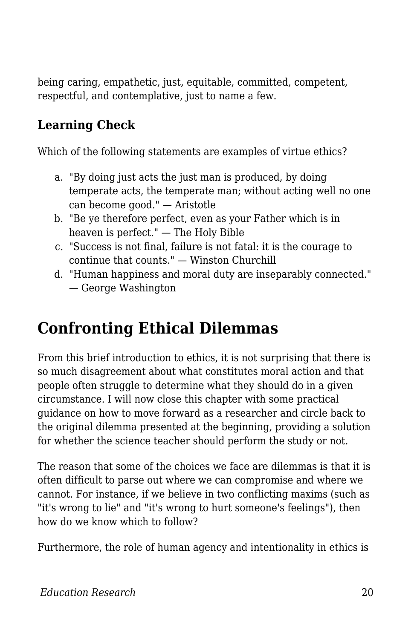being caring, empathetic, just, equitable, committed, competent, respectful, and contemplative, just to name a few.

#### **Learning Check**

Which of the following statements are examples of virtue ethics?

- a. "By doing just acts the just man is produced, by doing temperate acts, the temperate man; without acting well no one can become good." — Aristotle
- b. "Be ye therefore perfect, even as your Father which is in heaven is perfect." — The Holy Bible
- c. "Success is not final, failure is not fatal: it is the courage to continue that counts." — Winston Churchill
- d. "Human happiness and moral duty are inseparably connected." — George Washington

## **Confronting Ethical Dilemmas**

From this brief introduction to ethics, it is not surprising that there is so much disagreement about what constitutes moral action and that people often struggle to determine what they should do in a given circumstance. I will now close this chapter with some practical guidance on how to move forward as a researcher and circle back to the original dilemma presented at the beginning, providing a solution for whether the science teacher should perform the study or not.

The reason that some of the choices we face are dilemmas is that it is often difficult to parse out where we can compromise and where we cannot. For instance, if we believe in two conflicting maxims (such as "it's wrong to lie" and "it's wrong to hurt someone's feelings"), then how do we know which to follow?

Furthermore, the role of human agency and intentionality in ethics is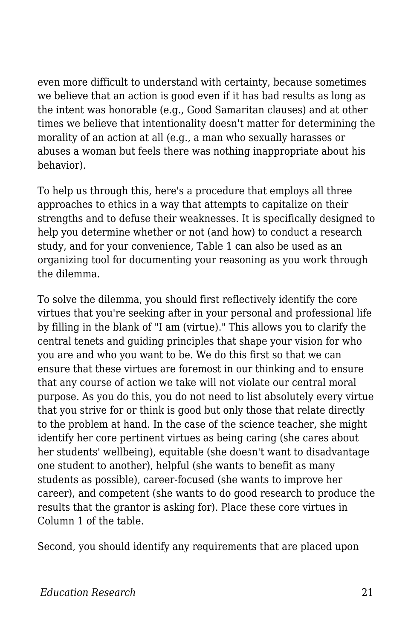even more difficult to understand with certainty, because sometimes we believe that an action is good even if it has bad results as long as the intent was honorable (e.g., Good Samaritan clauses) and at other times we believe that intentionality doesn't matter for determining the morality of an action at all (e.g., a man who sexually harasses or abuses a woman but feels there was nothing inappropriate about his behavior).

To help us through this, here's a procedure that employs all three approaches to ethics in a way that attempts to capitalize on their strengths and to defuse their weaknesses. It is specifically designed to help you determine whether or not (and how) to conduct a research study, and for your convenience, Table 1 can also be used as an organizing tool for documenting your reasoning as you work through the dilemma.

To solve the dilemma, you should first reflectively identify the core virtues that you're seeking after in your personal and professional life by filling in the blank of "I am (virtue)." This allows you to clarify the central tenets and guiding principles that shape your vision for who you are and who you want to be. We do this first so that we can ensure that these virtues are foremost in our thinking and to ensure that any course of action we take will not violate our central moral purpose. As you do this, you do not need to list absolutely every virtue that you strive for or think is good but only those that relate directly to the problem at hand. In the case of the science teacher, she might identify her core pertinent virtues as being caring (she cares about her students' wellbeing), equitable (she doesn't want to disadvantage one student to another), helpful (she wants to benefit as many students as possible), career-focused (she wants to improve her career), and competent (she wants to do good research to produce the results that the grantor is asking for). Place these core virtues in Column 1 of the table.

Second, you should identify any requirements that are placed upon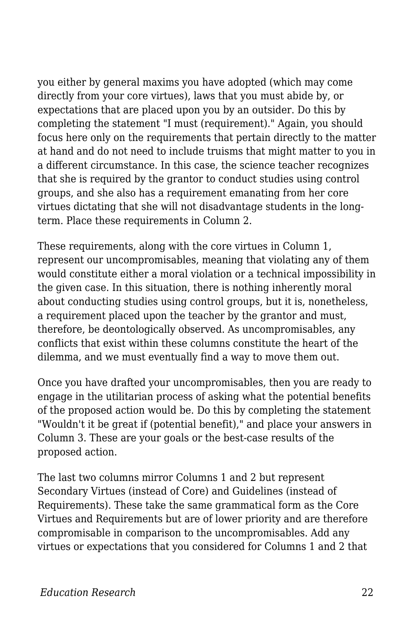you either by general maxims you have adopted (which may come directly from your core virtues), laws that you must abide by, or expectations that are placed upon you by an outsider. Do this by completing the statement "I must (requirement)." Again, you should focus here only on the requirements that pertain directly to the matter at hand and do not need to include truisms that might matter to you in a different circumstance. In this case, the science teacher recognizes that she is required by the grantor to conduct studies using control groups, and she also has a requirement emanating from her core virtues dictating that she will not disadvantage students in the longterm. Place these requirements in Column 2.

These requirements, along with the core virtues in Column 1, represent our uncompromisables, meaning that violating any of them would constitute either a moral violation or a technical impossibility in the given case. In this situation, there is nothing inherently moral about conducting studies using control groups, but it is, nonetheless, a requirement placed upon the teacher by the grantor and must, therefore, be deontologically observed. As uncompromisables, any conflicts that exist within these columns constitute the heart of the dilemma, and we must eventually find a way to move them out.

Once you have drafted your uncompromisables, then you are ready to engage in the utilitarian process of asking what the potential benefits of the proposed action would be. Do this by completing the statement "Wouldn't it be great if (potential benefit)," and place your answers in Column 3. These are your goals or the best-case results of the proposed action.

The last two columns mirror Columns 1 and 2 but represent Secondary Virtues (instead of Core) and Guidelines (instead of Requirements). These take the same grammatical form as the Core Virtues and Requirements but are of lower priority and are therefore compromisable in comparison to the uncompromisables. Add any virtues or expectations that you considered for Columns 1 and 2 that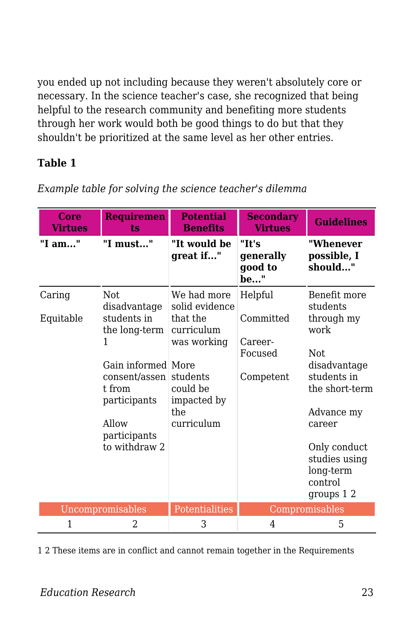you ended up not including because they weren't absolutely core or necessary. In the science teacher's case, she recognized that being helpful to the research community and benefiting more students through her work would both be good things to do but that they shouldn't be prioritized at the same level as her other entries.

#### **Table 1**

| Core<br><b>Virtues</b> | <b>Requiremen</b><br>ts                                                                                                                                              | <b>Potential</b><br><b>Benefits</b>                                                                                                | <b>Secondary</b><br><b>Virtues</b>                      | <b>Guidelines</b>                                                                                                                               |
|------------------------|----------------------------------------------------------------------------------------------------------------------------------------------------------------------|------------------------------------------------------------------------------------------------------------------------------------|---------------------------------------------------------|-------------------------------------------------------------------------------------------------------------------------------------------------|
| "I am"                 | "I must"                                                                                                                                                             | "It would be<br>great if"                                                                                                          | "It's<br>generally<br>good to<br>be"                    | "Whenever<br>possible, I<br>should"                                                                                                             |
| Caring<br>Equitable    | Not.<br>disadvantage<br>students in<br>the long-term<br>1<br>Gain informed More<br>consent/assen<br>t from<br>participants<br>Allow<br>participants<br>to withdraw 2 | We had more<br>solid evidence<br>that the<br>curriculum<br>was working<br>students<br>could be<br>impacted by<br>the<br>curriculum | Helpful<br>Committed<br>Career-<br>Focused<br>Competent | Benefit more<br>students<br>through my<br>work<br>Not.<br>disadvantage<br>students in<br>the short-term<br>Advance my<br>career<br>Only conduct |
|                        |                                                                                                                                                                      |                                                                                                                                    |                                                         | studies using<br>long-term<br>control<br>groups 1 2                                                                                             |
| Uncompromisables       |                                                                                                                                                                      | Potentialities                                                                                                                     | Compromisables                                          |                                                                                                                                                 |
| 1                      | 2                                                                                                                                                                    | 3                                                                                                                                  | 4                                                       | 5                                                                                                                                               |

*Example table for solving the science teacher's dilemma*

1 2 These items are in conflict and cannot remain together in the Requirements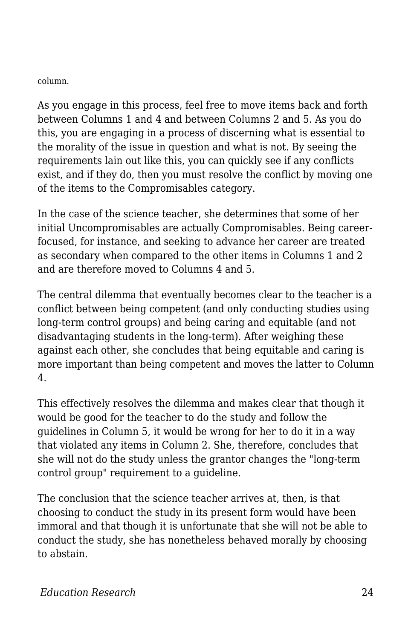column.

As you engage in this process, feel free to move items back and forth between Columns 1 and 4 and between Columns 2 and 5. As you do this, you are engaging in a process of discerning what is essential to the morality of the issue in question and what is not. By seeing the requirements lain out like this, you can quickly see if any conflicts exist, and if they do, then you must resolve the conflict by moving one of the items to the Compromisables category.

In the case of the science teacher, she determines that some of her initial Uncompromisables are actually Compromisables. Being careerfocused, for instance, and seeking to advance her career are treated as secondary when compared to the other items in Columns 1 and 2 and are therefore moved to Columns 4 and 5.

The central dilemma that eventually becomes clear to the teacher is a conflict between being competent (and only conducting studies using long-term control groups) and being caring and equitable (and not disadvantaging students in the long-term). After weighing these against each other, she concludes that being equitable and caring is more important than being competent and moves the latter to Column 4.

This effectively resolves the dilemma and makes clear that though it would be good for the teacher to do the study and follow the guidelines in Column 5, it would be wrong for her to do it in a way that violated any items in Column 2. She, therefore, concludes that she will not do the study unless the grantor changes the "long-term control group" requirement to a guideline.

The conclusion that the science teacher arrives at, then, is that choosing to conduct the study in its present form would have been immoral and that though it is unfortunate that she will not be able to conduct the study, she has nonetheless behaved morally by choosing to abstain.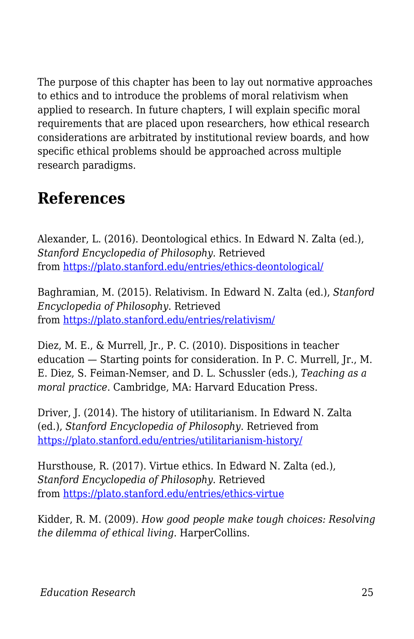The purpose of this chapter has been to lay out normative approaches to ethics and to introduce the problems of moral relativism when applied to research. In future chapters, I will explain specific moral requirements that are placed upon researchers, how ethical research considerations are arbitrated by institutional review boards, and how specific ethical problems should be approached across multiple research paradigms.

### **References**

Alexander, L. (2016). Deontological ethics. In Edward N. Zalta (ed.), *Stanford Encyclopedia of Philosophy*. Retrieved from<https://plato.stanford.edu/entries/ethics-deontological/>

Baghramian, M. (2015). Relativism. In Edward N. Zalta (ed.), *Stanford Encyclopedia of Philosophy*. Retrieved from<https://plato.stanford.edu/entries/relativism/>

Diez, M. E., & Murrell, Jr., P. C. (2010). Dispositions in teacher education — Starting points for consideration. In P. C. Murrell, Jr., M. E. Diez, S. Feiman-Nemser, and D. L. Schussler (eds.), *Teaching as a moral practice*. Cambridge, MA: Harvard Education Press.

Driver, J. (2014). The history of utilitarianism. In Edward N. Zalta (ed.), *Stanford Encyclopedia of Philosophy*. Retrieved from <https://plato.stanford.edu/entries/utilitarianism-history/>

Hursthouse, R. (2017). Virtue ethics. In Edward N. Zalta (ed.), *Stanford Encyclopedia of Philosophy*. Retrieved from<https://plato.stanford.edu/entries/ethics-virtue>

Kidder, R. M. (2009). *How good people make tough choices: Resolving the dilemma of ethical living*. HarperCollins.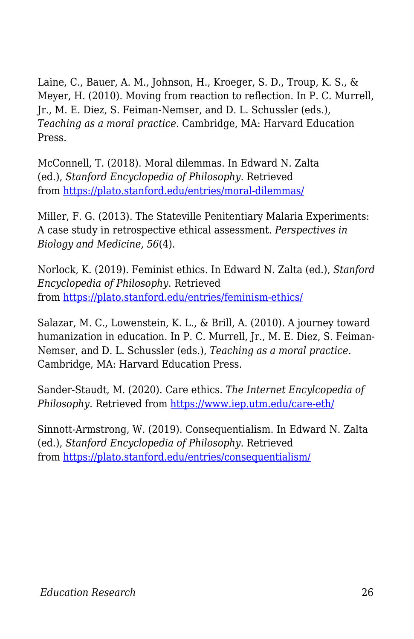Laine, C., Bauer, A. M., Johnson, H., Kroeger, S. D., Troup, K. S., & Meyer, H. (2010). Moving from reaction to reflection. In P. C. Murrell, Jr., M. E. Diez, S. Feiman-Nemser, and D. L. Schussler (eds.), *Teaching as a moral practice*. Cambridge, MA: Harvard Education Press.

McConnell, T. (2018). Moral dilemmas. In Edward N. Zalta (ed.), *Stanford Encyclopedia of Philosophy*. Retrieved from<https://plato.stanford.edu/entries/moral-dilemmas/>

Miller, F. G. (2013). The Stateville Penitentiary Malaria Experiments: A case study in retrospective ethical assessment. *Perspectives in Biology and Medicine, 56*(4).

Norlock, K. (2019). Feminist ethics. In Edward N. Zalta (ed.), *Stanford Encyclopedia of Philosophy*. Retrieved from<https://plato.stanford.edu/entries/feminism-ethics/>

Salazar, M. C., Lowenstein, K. L., & Brill, A. (2010). A journey toward humanization in education. In P. C. Murrell, Jr., M. E. Diez, S. Feiman-Nemser, and D. L. Schussler (eds.), *Teaching as a moral practice*. Cambridge, MA: Harvard Education Press.

Sander-Staudt, M. (2020). Care ethics. *The Internet Encylcopedia of Philosophy*. Retrieved from<https://www.iep.utm.edu/care-eth/>

Sinnott-Armstrong, W. (2019). Consequentialism. In Edward N. Zalta (ed.), *Stanford Encyclopedia of Philosophy*. Retrieved from<https://plato.stanford.edu/entries/consequentialism/>